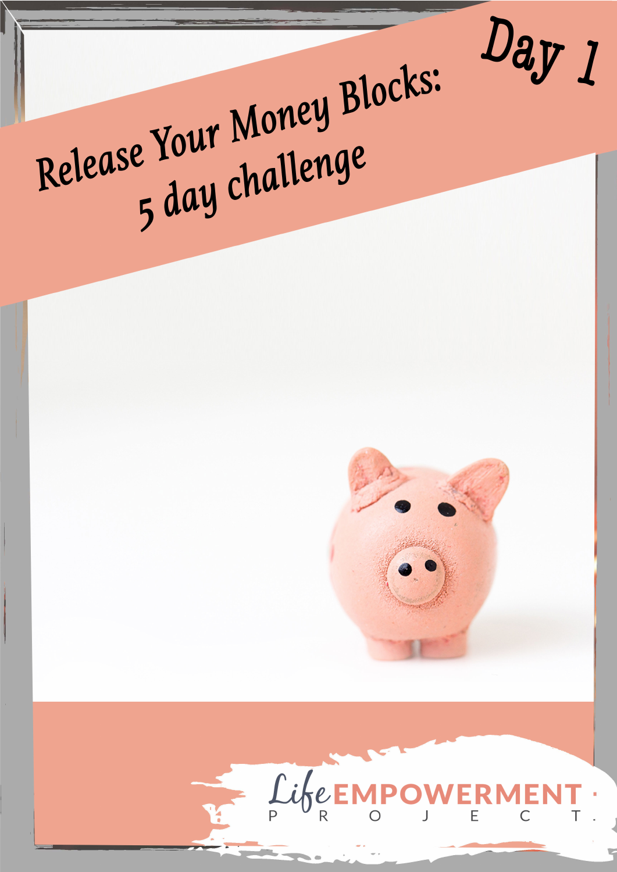

## Release Your Money Blocks: 5 day challenge



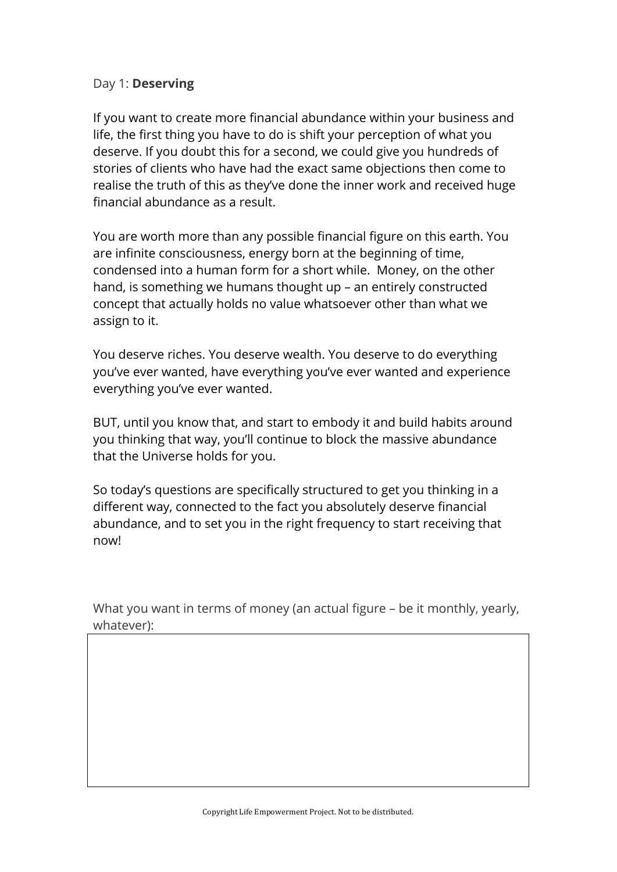## Day 1: **Deserving**

If you want to create more financial abundance within your business and life, the first thing you have to do is shift your perception of what you deserve. If you doubt this for a second, we could give you hundreds of stories of clients who have had the exact same objections then come to realise the truth of this as they've done the inner work and received huge financial abundance as a result.

You are worth more than any possible financial figure on this earth. You are infinite consciousness, energy born at the beginning of time, condensed into a human form for a short while. Money, on the other hand, is something we humans thought up – an entirely constructed concept that actually holds no value whatsoever other than what we assign to it.

You deserve riches. You deserve wealth. You deserve to do everything you've ever wanted, have everything you've ever wanted and experience everything you've ever wanted.

BUT, until you know that, and start to embody it and build habits around you thinking that way, you'll continue to block the massive abundance that the Universe holds for you.

So today's questions are specifically structured to get you thinking in a different way, connected to the fact you absolutely deserve financial abundance, and to set you in the right frequency to start receiving that now!

What you want in terms of money (an actual figure – be it monthly, yearly, whatever):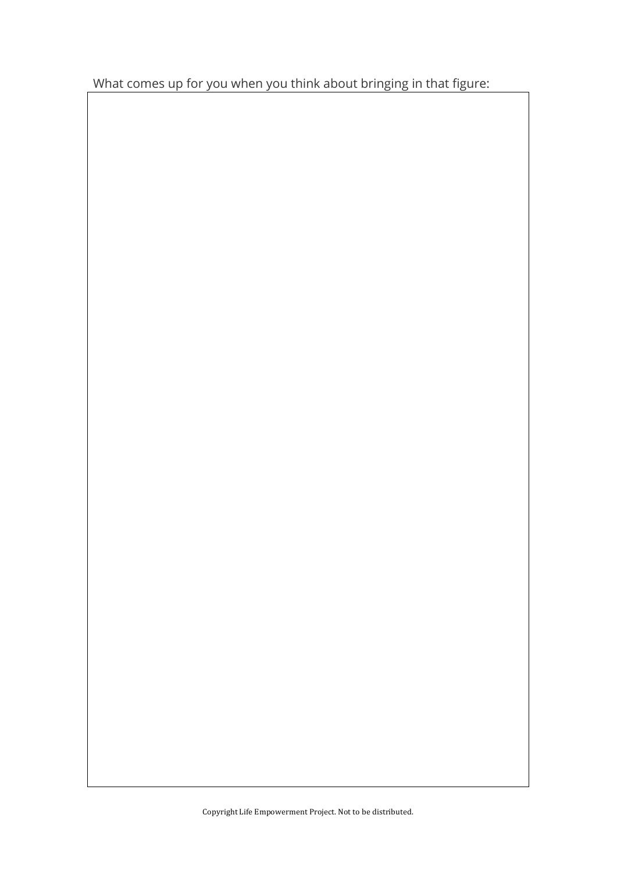What comes up for you when you think about bringing in that figure: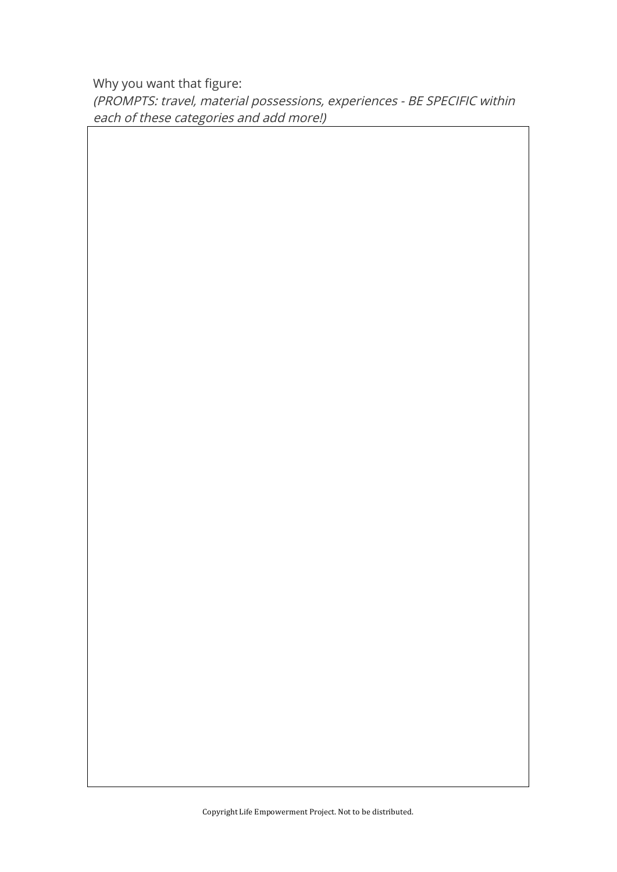Why you want that figure:

(PROMPTS: travel, material possessions, experiences - BE SPECIFIC within each of these categories and add more!)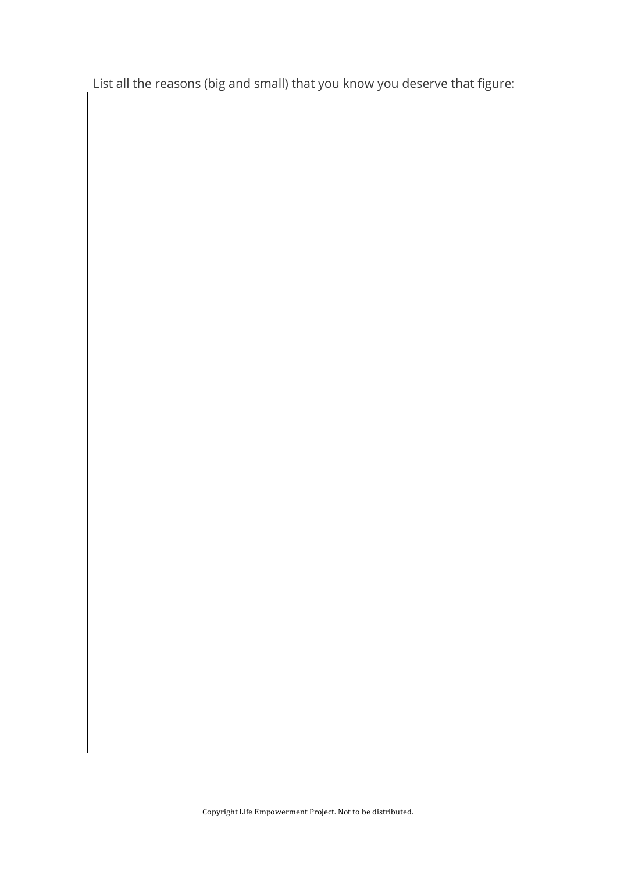List all the reasons (big and small) that you know you deserve that figure: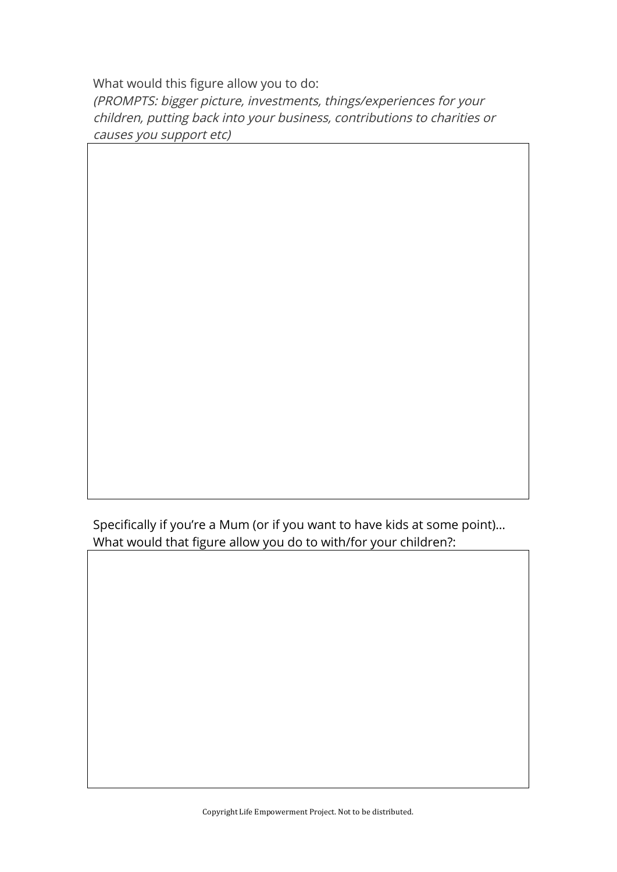What would this figure allow you to do: (PROMPTS: bigger picture, investments, things/experiences for your children, putting back into your business, contributions to charities or causes you support etc)

Specifically if you're a Mum (or if you want to have kids at some point)… What would that figure allow you do to with/for your children?: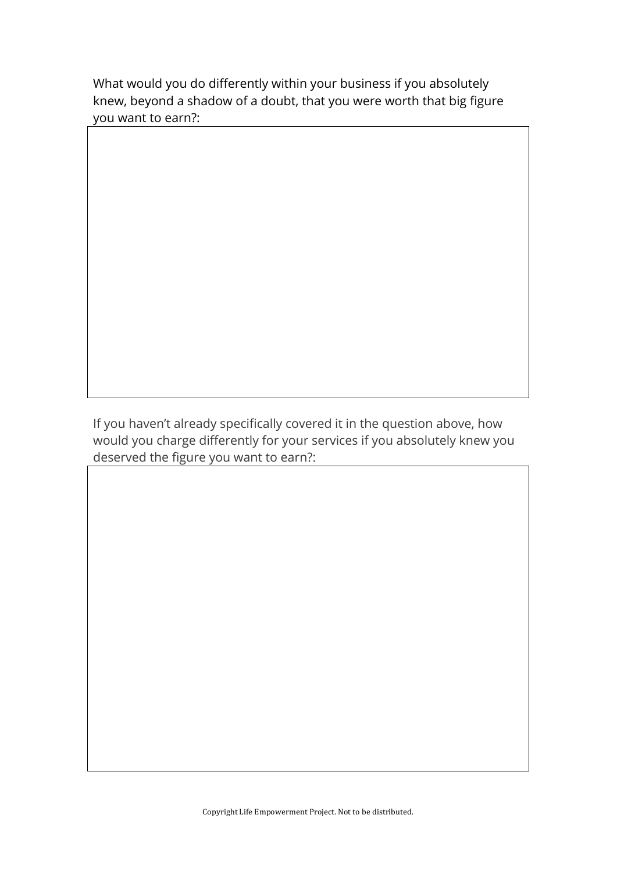What would you do differently within your business if you absolutely knew, beyond a shadow of a doubt, that you were worth that big figure you want to earn?:

If you haven't already specifically covered it in the question above, how would you charge differently for your services if you absolutely knew you deserved the figure you want to earn?: